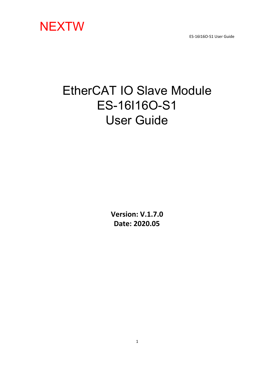

ES-16I16O-S1 User Guide

# EtherCAT IO Slave Module ES-16I16O-S1 User Guide

**Version: V.1.7.0 Date: 2020.05**

1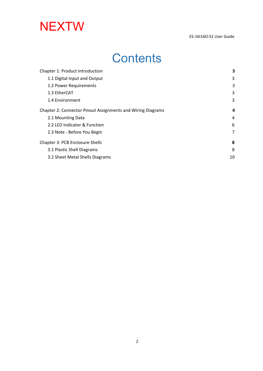#### ES-16I16O-S1 User Guide

# **Contents**

| Chapter 1: Product Introduction                             | 3  |
|-------------------------------------------------------------|----|
| 1.1 Digital Input and Output                                | 3  |
| 1.2 Power Requirements                                      | 3  |
| 1.3 EtherCAT                                                | 3  |
| 1.4 Environment                                             | 3  |
| Chapter 2: Connector Pinout Assignments and Wiring Diagrams | 4  |
| 2.1 Mounting Data                                           | 4  |
| 2.2 LED Indicator & Function                                | 6  |
| 2.3 Note - Before You Begin                                 | 7  |
| Chapter 3: PCB Enclosure Shells                             | 8  |
| 3.1 Plastic Shell Diagrams                                  | 8  |
| 3.2 Sheet Metal Shells Diagrams                             | 10 |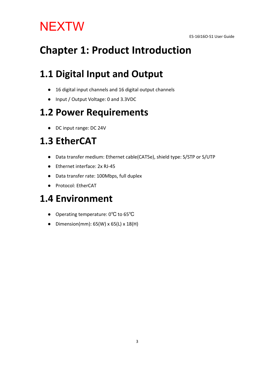## <span id="page-2-0"></span>**Chapter 1: Product Introduction**

### <span id="page-2-1"></span>**1.1 Digital Input and Output**

- 16 digital input channels and 16 digital output channels
- Input / Output Voltage: 0 and 3.3VDC

#### <span id="page-2-2"></span>**1.2 Power Requirements**

● DC input range: DC 24V

## <span id="page-2-3"></span>**1.3 EtherCAT**

- Data transfer medium: Ethernet cable(CAT5e), shield type: S/STP or S/UTP
- Ethernet interface: 2x RJ-45
- Data transfer rate: 100Mbps, full duplex
- Protocol: EtherCAT

#### <span id="page-2-4"></span>**1.4 Environment**

- Operating temperature: 0℃ to 65℃
- Dimension(mm): 65(W) x 65(L) x 18(H)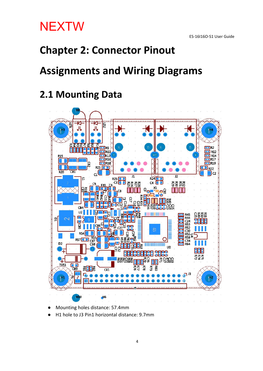#### <span id="page-3-0"></span>**Chapter 2: Connector Pinout**

#### **Assignments and Wiring Diagrams**

#### <span id="page-3-1"></span>**2.1 Mounting Data**



- Mounting holes distance: 57.4mm
- H1 hole to J3 Pin1 horizontal distance: 9.7mm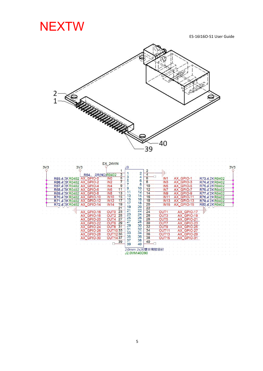ES-16I16O-S1 User Guide



| 3V3                           |                                    | J <sub>3</sub>             |          |    |                   |                       |               |  |
|-------------------------------|------------------------------------|----------------------------|----------|----|-------------------|-----------------------|---------------|--|
| R64                           | <b>QR(NC)R0402</b>                 | 3                          | 2        |    |                   |                       |               |  |
| <b>AX</b><br>R65.4.7KR0402    | GPIO-0<br>IN <sub>0</sub>          | 5                          |          | 6  | IN1               | AX GPIO-1             | R73.4.7KR0402 |  |
| R66.4.7KR0402                 | IN <sub>2</sub><br>GPIO-2          | ь<br>$\overline{7}$        | 6        | 8  | IN3               | AX GPIO-3             | R74.4.7KR0402 |  |
| R67.4.7KR0402<br>AX           | IN <sub>4</sub><br>GPIO-4          | $\overline{9}$             | 8        | 10 | <b>IN5</b>        | AX GPIO-5             | R75.4.7KR0402 |  |
| R68 4.7KR0402<br>AX           | IN <sub>6</sub><br>GPIO-6          | 9<br>11                    | 10       | 12 | IN <sub>7</sub>   | AX GPIO-7             | R76.4.7KR0402 |  |
| R69 4.7KR0402<br>AX           | IN <sub>8</sub><br>GPIO-8          | 11<br>13                   | 12       | 14 | IN <sub>9</sub>   | AX GPIO-9             | R77.4.7KR0402 |  |
| R70<br>4.7KR0402<br><b>AX</b> | <b>IN10</b><br>GPIO-10             | 13<br>15                   | 14       | 16 | <b>IN11</b>       | AX GPIO-11            | R78.4.7KR0402 |  |
| 4.7KR0402<br>R71<br><b>AX</b> | <b>IN12</b><br><b>GPIO-12</b>      | 15<br>17<br>17             | 16       | 18 | <b>IN13</b>       | <b>GPIO-13</b><br>AX  | R79.4.7KR0402 |  |
| R72.4.7KR0402 AX              | <b>IN14</b><br><b>GPIO-14</b>      | 19                         | 18       | 20 | <b>IN15</b>       | AX GPIO-15            | R80.4.7KR0402 |  |
|                               |                                    | 19<br>21<br>2 <sub>1</sub> | 20<br>22 | 22 |                   |                       |               |  |
| <b>AX</b>                     | <b>OUTO</b><br><b>GPIO-16</b>      | 23                         | 24       | 24 | OUT <sub>1</sub>  | AX GPIO-17            |               |  |
|                               | OUT <sub>2</sub><br><b>GPIO-18</b> | 23<br>25<br>25             | 26       | 26 | OUT3              | <b>GPIO-19</b><br>AX  |               |  |
|                               | <b>GPIO-20</b><br>OUT4             | 27<br>27                   | 28       | 28 | OUT <sub>5</sub>  | AX GPIO-21            |               |  |
|                               | <b>GPIO-22</b><br>OUT6             | 29                         | 30       | 30 | OUT7              | <b>GPIO-23</b><br>АX  |               |  |
|                               | OUT <sub>8</sub><br><b>GPIO-24</b> | 29<br>31<br>31             | 32       | 32 | OUT <sub>9</sub>  | <b>GPIO-25</b><br>AX. |               |  |
|                               | <b>OUT1033</b><br><b>GPIO-26</b>   | 33                         | 34       | 34 | OUT <sub>11</sub> | GPIO-27<br>AX.        |               |  |
| AX GPIO-28                    | <b>OUT1235</b>                     |                            |          | 36 | OUT <sub>13</sub> | AX GPIO-29            |               |  |
| AX GPIO-30                    | <b>OUT1437</b>                     | 35<br>37                   | 36<br>38 | 38 | OUT <sub>15</sub> | AX GPIO-31            |               |  |
|                               |                                    | 39                         |          | 40 |                   |                       |               |  |
|                               |                                    | 39                         | 40       |    |                   |                       |               |  |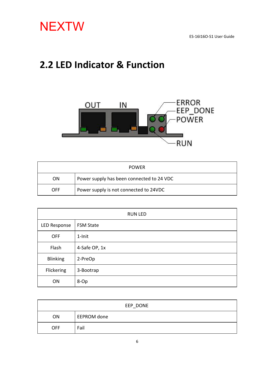

#### <span id="page-5-0"></span>**2.2 LED Indicator & Function**



|           | <b>POWFR</b>                              |
|-----------|-------------------------------------------|
| <b>ON</b> | Power supply has been connected to 24 VDC |
| OFF       | Power supply is not connected to 24VDC    |

| <b>RUN LED</b>  |                  |
|-----------------|------------------|
| LED Response    | <b>FSM State</b> |
| <b>OFF</b>      | $1$ -Init        |
| Flash           | 4-Safe OP, 1x    |
| <b>Blinking</b> | 2-PreOp          |
| Flickering      | 3-Bootrap        |
| ON              | 8-Op             |

|            | EEP_DONE    |
|------------|-------------|
| ON         | EEPROM done |
| <b>OFF</b> | Fail        |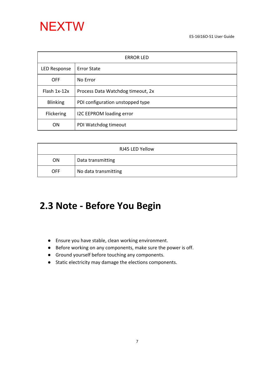

| <b>ERROR LED</b>    |                                   |
|---------------------|-----------------------------------|
| <b>LED Response</b> | <b>Error State</b>                |
| <b>OFF</b>          | No Error                          |
| Flash $1x-12x$      | Process Data Watchdog timeout, 2x |
| <b>Blinking</b>     | PDI configuration unstopped type  |
| Flickering          | I2C EEPROM loading error          |
| ON                  | PDI Watchdog timeout              |

| RJ45 LED Yellow |                      |  |
|-----------------|----------------------|--|
| ON              | Data transmitting    |  |
| <b>OFF</b>      | No data transmitting |  |

#### <span id="page-6-0"></span>**2.3 Note - Before You Begin**

- Ensure you have stable, clean working environment.
- Before working on any components, make sure the power is off.
- Ground yourself before touching any components.
- Static electricity may damage the elections components.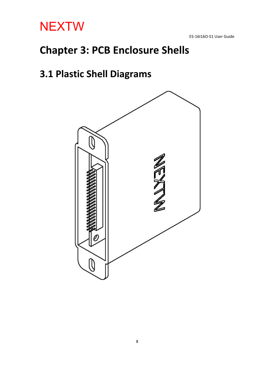

#### <span id="page-7-0"></span>**Chapter 3: PCB Enclosure Shells**

#### <span id="page-7-1"></span>**3.1 Plastic Shell Diagrams**

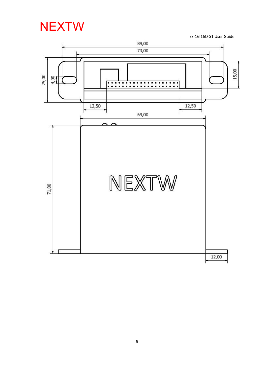ES-16I16O-S1 User Guide

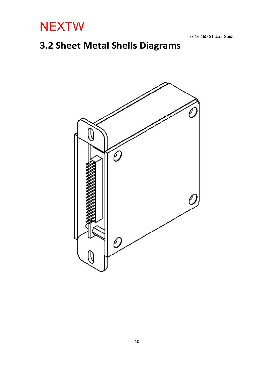

ES-16I16O-S1 User Guide

#### <span id="page-9-0"></span>**3.2 Sheet Metal Shells Diagrams**